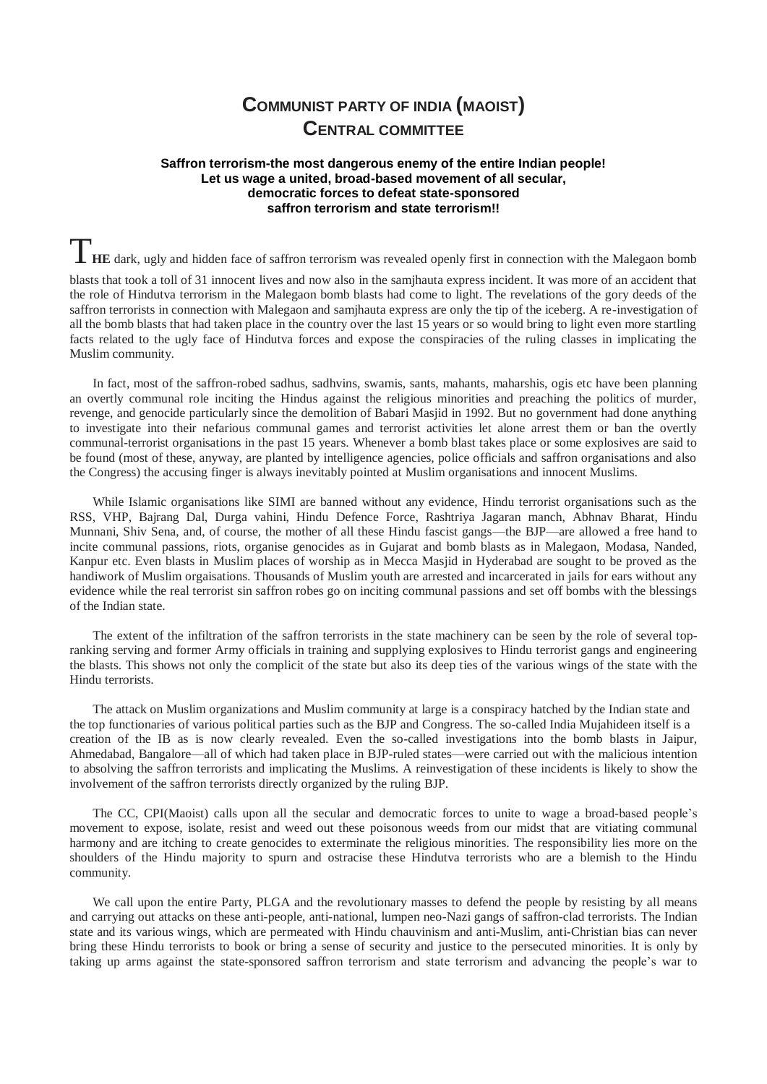## **COMMUNIST PARTY OF INDIA (MAOIST) CENTRAL COMMITTEE**

## **Saffron terrorism-the most dangerous enemy of the entire Indian people! Let us wage a united, broad-based movement of all secular, democratic forces to defeat state-sponsored saffron terrorism and state terrorism!!**

**THE** dark, ugly and hidden face of saffron terrorism was revealed openly first in connection with the Malegaon bomb

blasts that took a toll of 31 innocent lives and now also in the samjhauta express incident. It was more of an accident that the role of Hindutva terrorism in the Malegaon bomb blasts had come to light. The revelations of the gory deeds of the saffron terrorists in connection with Malegaon and samjhauta express are only the tip of the iceberg. A re-investigation of all the bomb blasts that had taken place in the country over the last 15 years or so would bring to light even more startling facts related to the ugly face of Hindutva forces and expose the conspiracies of the ruling classes in implicating the Muslim community.

In fact, most of the saffron-robed sadhus, sadhvins, swamis, sants, mahants, maharshis, ogis etc have been planning an overtly communal role inciting the Hindus against the religious minorities and preaching the politics of murder, revenge, and genocide particularly since the demolition of Babari Masjid in 1992. But no government had done anything to investigate into their nefarious communal games and terrorist activities let alone arrest them or ban the overtly communal-terrorist organisations in the past 15 years. Whenever a bomb blast takes place or some explosives are said to be found (most of these, anyway, are planted by intelligence agencies, police officials and saffron organisations and also the Congress) the accusing finger is always inevitably pointed at Muslim organisations and innocent Muslims.

While Islamic organisations like SIMI are banned without any evidence, Hindu terrorist organisations such as the RSS, VHP, Bajrang Dal, Durga vahini, Hindu Defence Force, Rashtriya Jagaran manch, Abhnav Bharat, Hindu Munnani, Shiv Sena, and, of course, the mother of all these Hindu fascist gangs—the BJP—are allowed a free hand to incite communal passions, riots, organise genocides as in Gujarat and bomb blasts as in Malegaon, Modasa, Nanded, Kanpur etc. Even blasts in Muslim places of worship as in Mecca Masjid in Hyderabad are sought to be proved as the handiwork of Muslim orgaisations. Thousands of Muslim youth are arrested and incarcerated in jails for ears without any evidence while the real terrorist sin saffron robes go on inciting communal passions and set off bombs with the blessings of the Indian state.

The extent of the infiltration of the saffron terrorists in the state machinery can be seen by the role of several topranking serving and former Army officials in training and supplying explosives to Hindu terrorist gangs and engineering the blasts. This shows not only the complicit of the state but also its deep ties of the various wings of the state with the Hindu terrorists.

The attack on Muslim organizations and Muslim community at large is a conspiracy hatched by the Indian state and the top functionaries of various political parties such as the BJP and Congress. The so-called India Mujahideen itself is a creation of the IB as is now clearly revealed. Even the so-called investigations into the bomb blasts in Jaipur, Ahmedabad, Bangalore—all of which had taken place in BJP-ruled states—were carried out with the malicious intention to absolving the saffron terrorists and implicating the Muslims. A reinvestigation of these incidents is likely to show the involvement of the saffron terrorists directly organized by the ruling BJP.

The CC, CPI(Maoist) calls upon all the secular and democratic forces to unite to wage a broad-based people's movement to expose, isolate, resist and weed out these poisonous weeds from our midst that are vitiating communal harmony and are itching to create genocides to exterminate the religious minorities. The responsibility lies more on the shoulders of the Hindu majority to spurn and ostracise these Hindutva terrorists who are a blemish to the Hindu community.

We call upon the entire Party, PLGA and the revolutionary masses to defend the people by resisting by all means and carrying out attacks on these anti-people, anti-national, lumpen neo-Nazi gangs of saffron-clad terrorists. The Indian state and its various wings, which are permeated with Hindu chauvinism and anti-Muslim, anti-Christian bias can never bring these Hindu terrorists to book or bring a sense of security and justice to the persecuted minorities. It is only by taking up arms against the state-sponsored saffron terrorism and state terrorism and advancing the people's war to